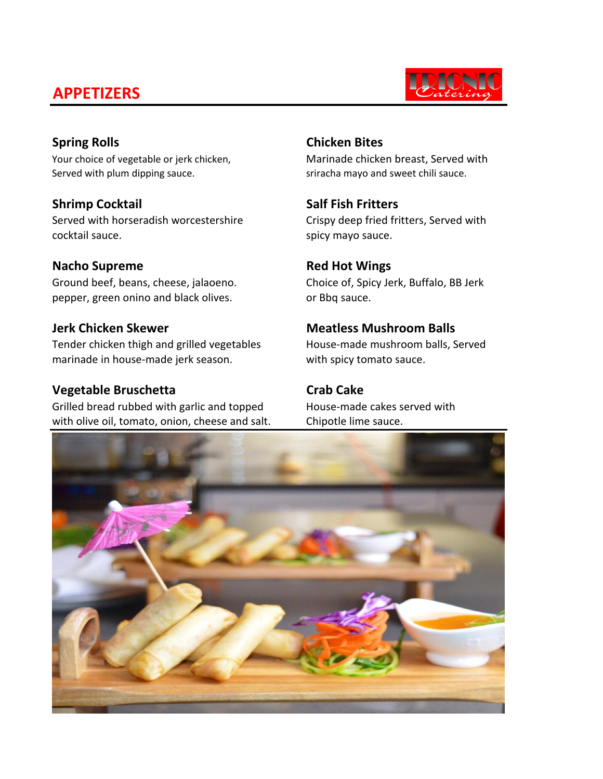# **APPETIZERS**



Served with plum dipping sauce. sritacha mayo and sweet chili sauce.

### **Shrimp Cocktail Salf Fish Fritters**

Served with horseradish worcestershire **Crispy deep fried fritters**, Served with cocktail sauce. Spicy mayo sauce.

### **Nacho Supreme** Red Hot Wings

Ground beef, beans, cheese, jalaoeno. Choice of, Spicy Jerk, Buffalo, BB Jerk pepper, green onino and black olives. The same or Bbq sauce.

Tender chicken thigh and grilled vegetables House-made mushroom balls, Served marinade in house-made jerk season. With spicy tomato sauce.

### **Vegetable Bruschetta Crab Cake**

Grilled bread rubbed with garlic and topped House-made cakes served with with olive oil, tomato, onion, cheese and salt. Chipotle lime sauce.

### **Spring Rolls Chicken Bites**

Your choice of vegetable or jerk chicken, Marinade chicken breast, Served with

### **Jerk Chicken Skewer Meatless Mushroom Balls**

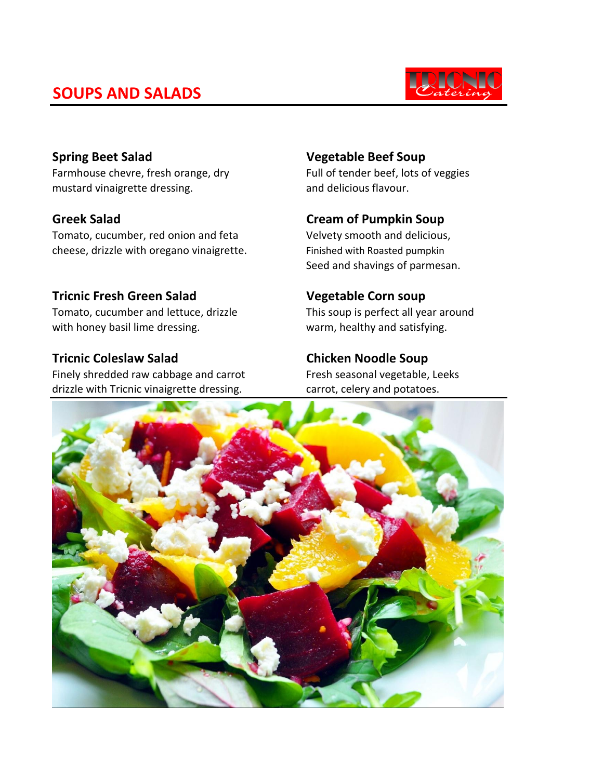# **SOUPS AND SALADS**



### **Spring Beet Salad Vegetable Beef Soup** Farmhouse chevre, fresh orange, dry Full of tender beef, lots of veggies mustard vinaigrette dressing. The same control of the and delicious flavour.

Tomato, cucumber, red onion and feta Velvety smooth and delicious, cheese, drizzle with oregano vinaigrette. Finished with Roasted pumpkin

### **Tricnic Fresh Green Salad Vegetable Corn soup**

Tomato, cucumber and lettuce, drizzle This soup is perfect all year around with honey basil lime dressing. We are warm, healthy and satisfying.

### **Tricnic Coleslaw Salad Chicken Noodle Soup**

Finely shredded raw cabbage and carrot Fresh seasonal vegetable, Leeks drizzle with Tricnic vinaigrette dressing. The carrot, celery and potatoes.

### **Greek Salad Cream of Pumpkin Soup**

Seed and shavings of parmesan.

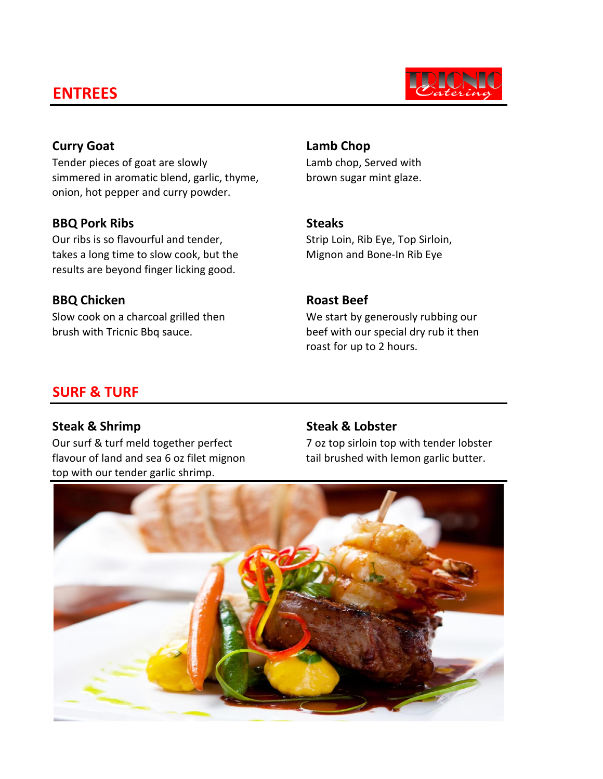# **ENTREES**



Tender pieces of goat are slowly entitled as the Lamb chop, Served with simmered in aromatic blend, garlic, thyme, brown sugar mint glaze. onion, hot pepper and curry powder.

### **BBQ Pork Ribs Steaks**

Our ribs is so flavourful and tender, Strip Loin, Rib Eye, Top Sirloin, takes a long time to slow cook, but the Mignon and Bone-In Rib Eye results are beyond finger licking good.

### **BBQ Chicken Roast Beef**

### **Curry Goat Lamb Chop**

Slow cook on a charcoal grilled then We start by generously rubbing our brush with Tricnic Bbq sauce. beef with our special dry rub it then roast for up to 2 hours.

### **SURF & TURF**

Our surf & turf meld together perfect 7 oz top sirloin top with tender lobster flavour of land and sea 6 oz filet mignon tail brushed with lemon garlic butter. top with our tender garlic shrimp.

### **Steak & Shrimp Steak & Lobster**

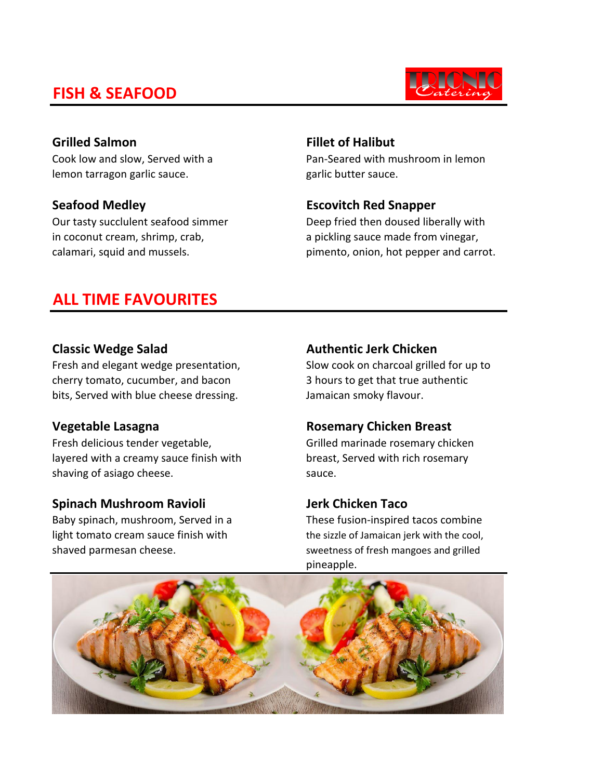# **FISH & SEAFOOD**



lemon tarragon garlic sauce. The same service of the garlic butter sauce.

in coconut cream, shrimp, crab, a pickling sauce made from vinegar,

### **Grilled Salmon Fillet of Halibut**

Cook low and slow, Served with a Pan-Seared with mushroom in lemon

### **Seafood Medley Escovitch Red Snapper**

Our tasty succlulent seafood simmer Deep fried then doused liberally with calamari, squid and mussels. pimento, onion, hot pepper and carrot.

# **ALL TIME FAVOURITES**

Fresh and elegant wedge presentation, Slow cook on charcoal grilled for up to cherry tomato, cucumber, and bacon 3 hours to get that true authentic bits, Served with blue cheese dressing. Jamaican smoky flavour.

Fresh delicious tender vegetable, Grilled marinade rosemary chicken layered with a creamy sauce finish with breast, Served with rich rosemary shaving of asiago cheese. Shaving of asiago cheese.

### **Spinach Mushroom Ravioli Jerk Chicken Taco**

Baby spinach, mushroom, Served in a These fusion-inspired tacos combine light tomato cream sauce finish with the sizzle of Jamaican jerk with the cool, shaved parmesan cheese. shave in sweetness of fresh mangoes and grilled

### **Classic Wedge Salad Authentic Jerk Chicken**

### **Vegetable Lasagna Rosemary Chicken Breast**

pineapple.

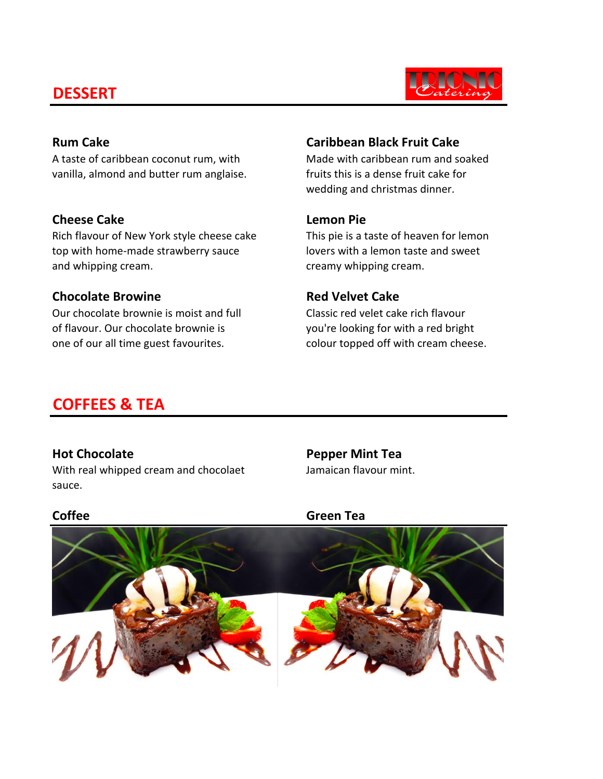# **DESSERT**



A taste of caribbean coconut rum, with Made with caribbean rum and soaked vanilla, almond and butter rum anglaise. The fruits this is a dense fruit cake for

### **Cheese Cake Lemon Pie**

Rich flavour of New York style cheese cake This pie is a taste of heaven for lemon top with home-made strawberry sauce lovers with a lemon taste and sweet and whipping cream. The cream of the creamy whipping cream.

### **Chocolate Browine Chocolate Browine Chocolate Browine** Red Velvet Cake

Our chocolate brownie is moist and full Classic red velet cake rich flavour of flavour. Our chocolate brownie is you're looking for with a red bright one of our all time guest favourites. colour topped off with cream cheese.

### **Rum Cake Caribbean Black Fruit Cake**

wedding and christmas dinner.

# **COFFEES & TEA**

With real whipped cream and chocolaet Jamaican flavour mint. sauce.

# **Hot Chocolate Pepper Mint Tea**



**Coffee Green Tea**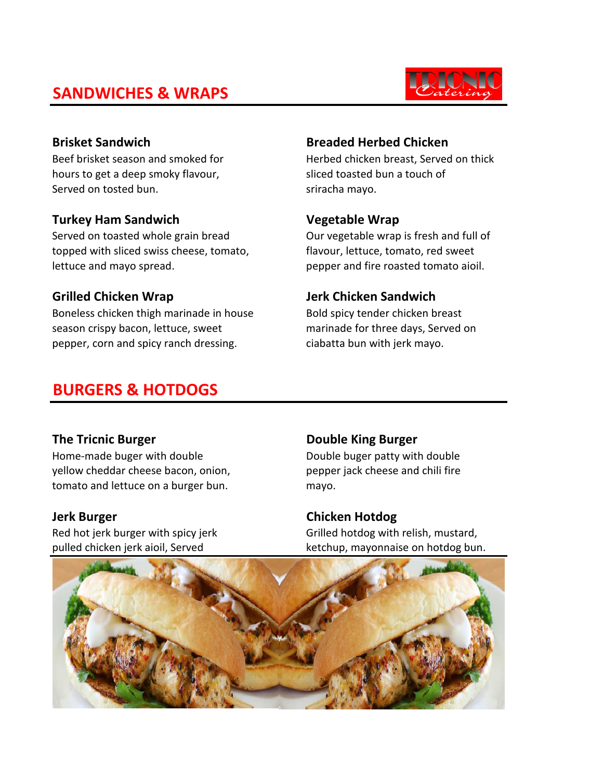# **SANDWICHES & WRAPS**



hours to get a deep smoky flavour, sliced toasted bun a touch of Served on tosted bun. Served on tosted bun.

### **Turkey Ham Sandwich Vegetable Wrap**

Served on toasted whole grain bread **Our vegetable wrap is fresh and full of** topped with sliced swiss cheese, tomato, flavour, lettuce, tomato, red sweet lettuce and mayo spread. expansion of the pepper and fire roasted tomato aioil.

Boneless chicken thigh marinade in house Bold spicy tender chicken breast season crispy bacon, lettuce, sweet marinade for three days, Served on pepper, corn and spicy ranch dressing. ciabatta bun with jerk mayo.

### **Brisket Sandwich Breaded Herbed Chicken**

Beef brisket season and smoked for **Herbed chicken breast, Served on thick** 

### **Grilled Chicken Wrap Jerk Chicken Sandwich**

## **BURGERS & HOTDOGS**

Home-made buger with double Double buger patty with double yellow cheddar cheese bacon, onion, pepper jack cheese and chili fire tomato and lettuce on a burger bun. mayo.

### **The Tricnic Burger Double King Burger**

### **Jerk Burger Chicken Hotdog**

Red hot jerk burger with spicy jerk Grilled hotdog with relish, mustard, pulled chicken jerk aioil, Served ketchup, mayonnaise on hotdog bun.